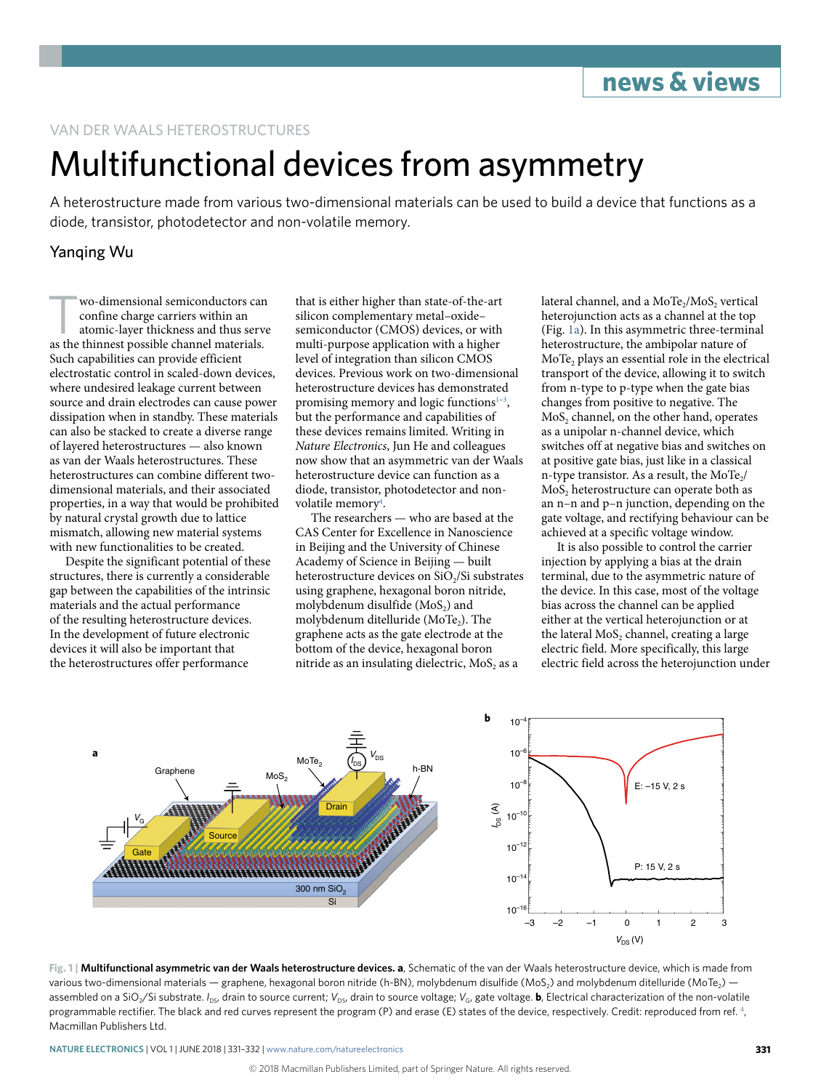### VAN DER WAALS HETEROSTRUCTURES

# Multifunctional devices from asymmetry

A heterostructure made from various two-dimensional materials can be used to build a device that functions as a diode, transistor, photodetector and non-volatile memory.

## Yanqing Wu

Wo-dimensional semiconductors can<br>
confine charge carriers within an<br>
atomic-layer thickness and thus serve<br>
as the thinnest possible channel materials confine charge carriers within an as the thinnest possible channel materials. Such capabilities can provide efficient electrostatic control in scaled-down devices, where undesired leakage current between source and drain electrodes can cause power dissipation when in standby. These materials can also be stacked to create a diverse range of layered heterostructures — also known as van der Waals heterostructures. These heterostructures can combine different twodimensional materials, and their associated properties, in a way that would be prohibited by natural crystal growth due to lattice mismatch, allowing new material systems with new functionalities to be created.

Despite the significant potential of these structures, there is currently a considerable gap between the capabilities of the intrinsic materials and the actual performance of the resulting heterostructure devices. In the development of future electronic devices it will also be important that the heterostructures offer performance

that is either higher than state-of-the-art silicon complementary metal–oxide– semiconductor (CMOS) devices, or with multi-purpose application with a higher level of integration than silicon CMOS devices. Previous work on two-dimensional heterostructure devices has demonstrated promising memory and logic functions<sup>[1](#page-1-0)-3</sup>, but the performance and capabilities of these devices remains limited. Writing in *Nature Electronics*, Jun He and colleagues now show that an asymmetric van der Waals heterostructure device can function as a diode, transistor, photodetector and nonvolatile memory<sup>4</sup>.

The researchers — who are based at the CAS Center for Excellence in Nanoscience in Beijing and the University of Chinese Academy of Science in Beijing — built heterostructure devices on SiO<sub>2</sub>/Si substrates using graphene, hexagonal boron nitride, molybdenum disulfide  $(MoS<sub>2</sub>)$  and molybdenum ditelluride (MoTe<sub>2</sub>). The graphene acts as the gate electrode at the bottom of the device, hexagonal boron nitride as an insulating dielectric, MoS, as a

lateral channel, and a MoTe<sub>2</sub>/MoS<sub>2</sub> vertical heterojunction acts as a channel at the top (Fig. [1a\)](#page-0-0). In this asymmetric three-terminal heterostructure, the ambipolar nature of MoTe, plays an essential role in the electrical transport of the device, allowing it to switch from n-type to p-type when the gate bias changes from positive to negative. The MoS<sub>2</sub> channel, on the other hand, operates as a unipolar n-channel device, which switches off at negative bias and switches on at positive gate bias, just like in a classical n-type transistor. As a result, the MoTe<sub>2</sub>/ MoS<sub>2</sub> heterostructure can operate both as an n–n and p–n junction, depending on the gate voltage, and rectifying behaviour can be achieved at a specific voltage window.

It is also possible to control the carrier injection by applying a bias at the drain terminal, due to the asymmetric nature of the device. In this case, most of the voltage bias across the channel can be applied either at the vertical heterojunction or at the lateral MoS<sub>2</sub> channel, creating a large electric field. More specifically, this large electric field across the heterojunction under



<span id="page-0-0"></span>**Fig. 1 | Multifunctional asymmetric van der Waals heterostructure devices. a**, Schematic of the van der Waals heterostructure device, which is made from various two-dimensional materials — graphene, hexagonal boron nitride (h-BN), molybdenum disulfide (MoS<sub>2</sub>) and molybdenum ditelluride (MoTe<sub>2</sub>) assembled on a SiO<sub>2</sub>/Si substrate. *I<sub>DS</sub>*, drain to source current; *V*<sub>DS</sub>, drain to source voltage; *V*<sub>G</sub>, gate voltage. **b**, Electrical characterization of the non-volatile programmable rectifier. The black and red curves represent the program (P) and erase (E) states of the device, respectively. Credit: reproduced from ref. [4,](#page-1-2) Macmillan Publishers Ltd.

**Nature Electronics** | VOL 1 | JUNE 2018 | 331–332 | [www.nature.com/natureelectronics](http://www.nature.com/natureelectronics)